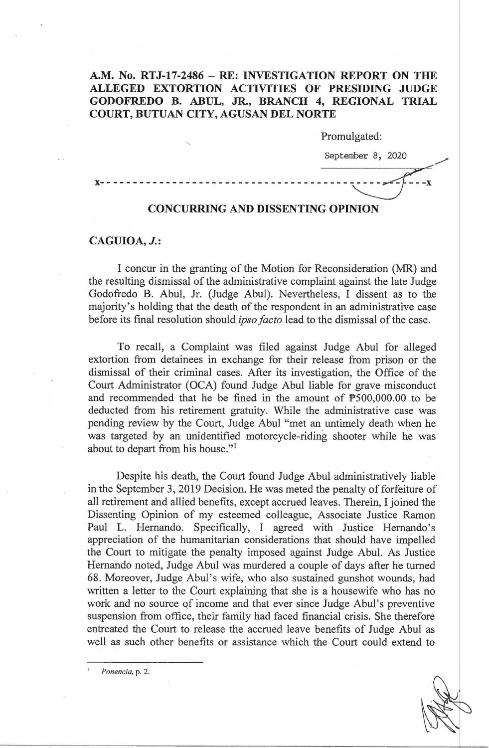## **A.M. No. RTJ-17-2486 - RE: INVESTIGATION REPORT ON THE ALLEGED EXTORTION ACTIVITIES OF PRESIDING JUDGE GODOFREDO B. ABUL, JR., BRANCH 4, REGIONAL TRIAL COURT, BUTUAN CITY, AGUSAN DEL NORTE**

Promulgated:

September 8, 2020 x- - - - - - - - - - - - - - - - - - - - - - - - - - - - - - - - - - - - - -~-=/

## **CONCURRING AND DISSENTING OPINION**

## **CAGUIOA, J.:**

I concur in the granting of the Motion for Reconsideration (MR) and the resulting dismissal of the administrative complaint against the late Judge Godofredo B. Abul, Jr. (Judge Abul). Nevertheless, I dissent as to the majority's holding that the death of the respondent in an administrative case before its final resolution should *ipso facto* lead to the dismissal of the case.

To recall, a Complaint was filed against Judge Abul for alleged extortion from detainees in exchange for their release from prison or the dismissal of their criminal cases. After its investigation, the Office of the Court Administrator (OCA) found Judge Abul liable for grave misconduct and recommended that he be fined in the amount of  $P500,000.00$  to be deducted from his retirement gratuity. While the administrative case was pending review by the Court, Judge Abul "met an untimely death when he was targeted by an unidentified motorcycle-riding shooter while he was about to depart from his house."<sup>1</sup>

Despite his death, the Court found Judge Abul administratively liable in the September 3, 2019 Decision. He was meted the penalty of forfeiture of all retirement and allied benefits, except accrued leaves. Therein, I joined the Dissenting Opinion of my esteemed colleague, Associate Justice Ramon Paul L. Hernando. Specifically, I agreed with Justice Hernando's appreciation of the humanitarian considerations that should have impelled the Court to mitigate the penalty imposed against Judge Abul. As Justice Hernando noted, Judge Abul was murdered a couple of days after he turned 68. Moreover, Judge Abul's wife, who also sustained gunshot wounds, had written a letter to the Court explaining that she is a housewife who has no work and no source of income and that ever since Judge Abul's preventive suspension from office, their family had faced financial crisis. She therefore entreated the Court to release the accrued leave benefits of Judge Abul as well as such other benefits or assistance which the Court could extend to

<sup>1</sup>*Ponencia,* p. 2.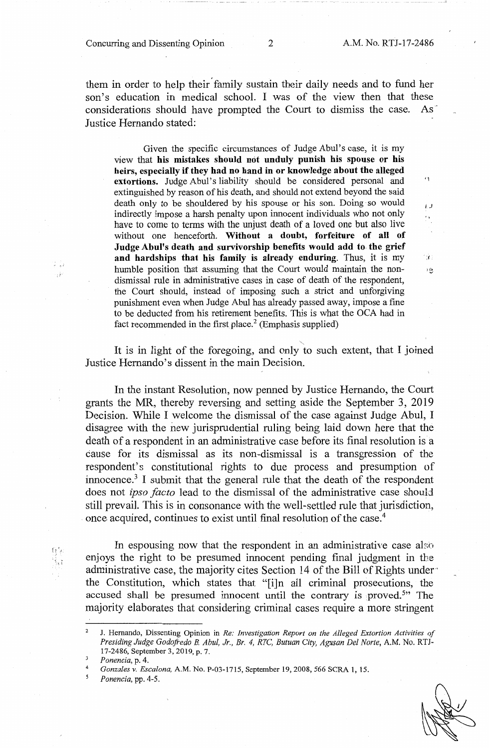Concurring and Dissenting Opinion 2 A.M. No. RTJ-17-2486

'1

I. J

i ý s  $\ddot{e}$ 

them in order to help their' family sustain their daily needs and to fund her son's education in medical school. I was of the view then that these considerations should have prompted the Court to dismiss the case. As Justice Hernando stated:

Given the specific circumstances of Judge Abul's case, it is my view that **his mistakes should not unduly punish his spouse or his heirs, especially if they had no hand in or knowledge about the alleged extortions.** Judge Abul's liability should be considered personal and extinguished by reason of his death, and should not extend beyond the said death only to be shouldered by his spouse or his son. Doing so would indirectly impose a harsh penalty upon innocent individuals who not only have to come to terms with the unjust death of a loved one but also live without one henceforth. **Without a doubt, forfeiture of all of Judge Abul's death and survivorship benefits would add to the grief and hardships that his family is already enduring.** Thus, it is my humble position that assuming that the Court would maintain the nondismissal rule in administrative cases in case of death of the respondent, the Court should, instead of imposing such a strict and unforgiving punishment even when Judge Abul has already passed away, impose a fine to be deducted from his retirement benefits. This is what the OCA had in fact recommended in the first place.<sup>2</sup> (Emphasis supplied)

It is in light of the foregoing, and only to such extent, that I joined Justice Hernando's dissent in the main Decision.

In the instant Resolution, now penned by Justice Hernando, the Court grants the MR, thereby reversing and setting aside the September 3, 2019 Decision. While I welcome the dismissal of the case against Judge Abul, I disagree with the new jurisprudential ruling being laid down here that the death of a respondent in an administrative case before its final resolution is a cause for its dismissal as its non-dismissal is a transgression of the respondent's constitutional rights to due process and presumption of innocence.<sup>3</sup> I submit that the general rule that the death of the respondent does not *ipso facto* lead to the dismissal of the administrative case should still prevail. This is in consonance with the well-settled rule that jurisdiction, once acquired, continues to exist until final resolution of the case.<sup>4</sup>

In espousing now that the respondent in an administrative case also enjoys the right to be presumed innocent pending final judgment in tbe administrative case, the majority cites Section 14 of the Bill of Rights underthe Constitution, which states that "[i]n all criminal prosecutions, the accused shall be presumed innocent until the contrary is proved.<sup>5"</sup> The majority elaborates that considering criminal cases require a more stringent

÷ŕ

<sup>2</sup>  J. Hernando, Dissenting Opinion in *Re: Investigation Report on the Alleged Extortion Activities of Presiding Judge Godofredo B. Abu!, Jr., Br. 4, RTC, Butuan City, Agusan Del Norte,* A.M. No. RTJ-17-2486, September 3, 2019, p. 7.

<sup>3</sup>  *Ponencia,* p. 4.

*Gonzales v. Escalona,* A.M. No. P-03-1715, September 19, 2008, 566 SCRA 1, 15. 4 5

*Ponencia,* pp. 4-5.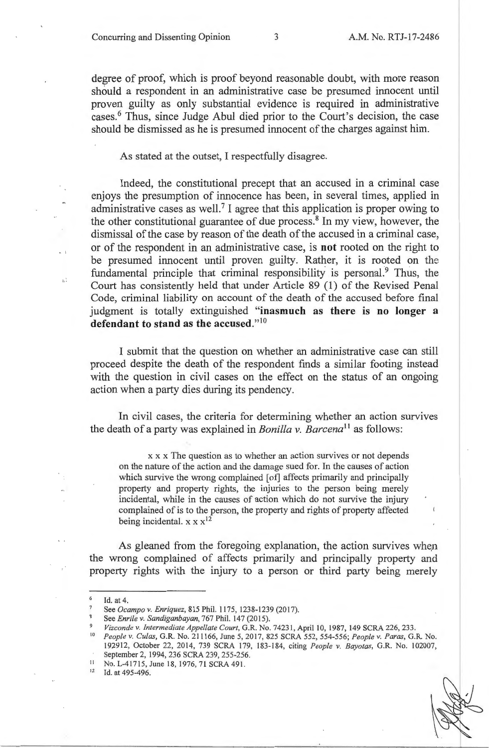Concurring and Dissenting Opinion 3 A.M. No. RTJ-17-2486

degree of proof, which is proof beyond reasonable doubt, with more reason should a respondent in an administrative case be presumed innocent until proven guilty as only substantial evidence is required in administrative cases.<sup>6</sup> Thus, since Judge Abul died prior to the Court's decision, the case should be dismissed as he is presumed innocent of the charges against him.

As stated at the outset, I respectfully disagree.

Indeed, the constitutional precept that an accused in a criminal case enjoys the presumption of innocence has been, in several times, applied in administrative cases as well.<sup>7</sup> I agree that this application is proper owing to the other constitutional guarantee of due process.<sup>8</sup> In my view, however, the dismissal of the case by reason of the death of the accused in a criminal case, or of the respondent in an administrative case, is **not** rooted on the right to be presumed innocent until proven guilty. Rather, it is rooted on the fundamental principle that criminal responsibility is personal.<sup>9</sup> Thus, the Court has consistently held that under Article 89 (1) of the Revised Penal Code, criminal liability on account of the death of the accused before final judgment is totally extinguished **"inasmuch as there is no longer a**  defendant to stand as the accused."<sup>10</sup>

I submit that the question on whether an administrative case can still proceed despite the death of the respondent finds a similar footing instead with the question in civil cases on the effect on the status of an ongoing action when a party dies during its pendency.

In civil cases, the criteria for determining whether an action survives the death of a party was explained in *Bonilla v. Barcena*<sup>11</sup> as follows:

**x x x** The question as to whether an action survives or not depends on the nature of the action and the damage sued for. In the causes of action which survive the wrong complained [of] affects primarily and principally property and property rights, the injuries to the person being merely incidental, while in the causes of action which do not survive the injury complained of is to the person, the property and rights of property affected being incidental.  $x \times x^{12}$ 

As gleaned from the foregoing explanation, the action survives when the wrong complained of affects primarily and principally property and property rights with the injury to a person or third party being merely

- $\frac{11}{2}$  No. L-41715, June 18, 1976, 71 SCRA 491.
- Id. at 495-496.

 $\frac{6}{7}$  Id. at 4.

See *Ocampo v. Enriquez*, 815 Phil. 1175, 1238-1239 (2017).

See *Enrile v. Sandiganbayan,* 767 Phil. 147 (2015).

Vizconde v. Intermediate Appellate Court, G.R. No. 74231, April 10, 1987, 149 SCRA 226, 233.

<sup>10</sup>*People v. Cu/as,* G.R. No. 211166, June 5, 2017, 825 SCRA 552, 554-556; *People v. Paras,* G.R. No. 192912, October 22, 2014, 739 SCRA 179, 183-184, citing *People v. Bayotas,* G.R. No. 102007,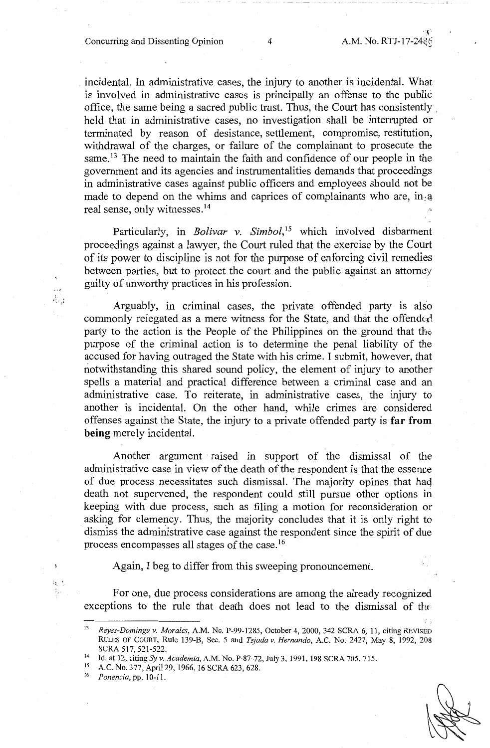' **:t** ',

incidental. In administrative cases, the injury to another is incidental. What is involved in administrative cases is principally an offense to the public office, the same being a sacred public trust. Thus, the Court has consistently . held that in administrative cases, no investigation shall be interrupted or terminated by reason of desistance, settlement, compromise, restitution, withdrawal of the charges, or failure of the complainant to prosecute the same.<sup>13</sup> The need to maintain the faith and confidence of our people in the government and its agencies and instrumentalities demands that proceedings in administrative cases against public officers and employees should not be made to depend on the whims and caprices of complainants who are, in a real sense, only witnesses. <sup>14</sup>

Particularly, in *Bolivar v. Simbol*,<sup>15</sup> which involved disbarment proceedings against a lawyer, the Court ruled that the exercise by the Court of its power to discipline is not for the purpose of enforcing civil remedies between parties, but to protect the court and the public against an attorney guilty of unworthy practices in his profession.

Arguably, in criminal cases, the private offended party is also commonly relegated as a mere witness for the State, and that the offended party to the action is the People of the Philippines on the ground that thei purpose of the criminal action is to determine the penal liability of the accused for having outraged the State with his crime. I submit, however, that notwithstanding this shared sound policy, the element of injury to another spells a material and practical difference between a criminal case and an administrative case. To reiterate, in administrative cases, the injury to another is incidental. On the other hand, while crimes are considered offenses against the State, the injury to a private offended party is **far from being** merely incidental.

Another argument · raised in support of the dismissal of the administrative case in view of the death of the respondent is that the essence of due process necessitates such dismissal. The majority opines that haq death not supervened, the respondent could still pursue other options in keeping with due process, such as filing a motion for reconsideration or asking for clemency. Thus, the majority concludes that it is only right to dismiss the administrative case against the respondent since the spirit of due process encompasses all stages of the case. <sup>16</sup>

Again, I beg to differ from this sweeping pronouncement.

For one, due process considerations are among the already recognized exceptions to the rule that death does not lead to the dismissal of the

16 *Ponencia,* pp. 10-11.

 $\mathcal{C}^{\mathcal{C}}$ 

<sup>13</sup>*Reyes-Domingo v. Morales,* A.M. No. P-99-1285, October 4, 2000, 342 SCRA 6, 11, citing REVISED RULES OF COURT, Rule 139-B, Sec. 5 and *Tejada v. Hernando,* A.C. No. 2427, May 8, 1992, 208 SCRA 517, 521-522.<br><sup>14</sup> Id. at 12, citing *Syv. Academia*, A.M. No. P-87-72, July 3, 1991, 198 SCRA 705, 715.<br><sup>15</sup> A.C. No. 277, April 20, 1966, 16 SCRA 622, 628.

<sup>&</sup>lt;sup>15</sup> A.C. No. 377, April 29, 1966, 16 SCRA 623, 628.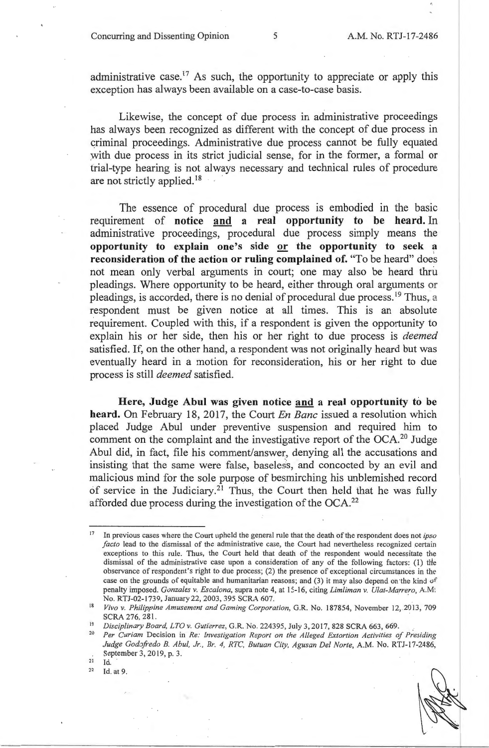administrative case.<sup>17</sup> As such, the opportunity to appreciate or apply this exception has always been available on a case-to-case basis.

Likewise, the concept of due process in administrative proceedings has always been recognized as different with the concept of due process in criminal proceedings. Administrative due process cannot be fully equated with due process in its strict judicial sense, for in the former, a formal or trial-type hearing is not always necessary and technical rules of procedure are not strictly applied. 18

The essence of procedural due process is embodied in the basic requirement of **notice and a real opportunity to be heard.** In administrative proceedings, procedural due process simply means the **opportunity to explain one's side or the opportunity to seek a reconsideration of the action or ruling complained of.** "To be heard" does not mean only verbal arguments in court; one may also be heard thru pleadings. Where opportunity to be heard, either through oral arguments or pleadings, is accorded, there is no denial of procedural due process.<sup>19</sup> Thus, a respondent must be given notice at all times. This is an absolute requirement. Coupled with this, if a respondent is given the opportunity to explain his or her side, then his or her right to due process is *deemed*  satisfied. If, on the other hand, a respondent was not originally heard but was eventually heard in a motion for reconsideration, his or her right to due process is still *deemed* satisfied.

**Here, Judge Abul was given notice and a real opportunity to be heard.** On February 18, 2017, the Court *En Banc* issued a resolution which placed Judge Abul under preventive suspension and required him to comment on the complaint and the investigative report of the  $OCA<sup>20</sup>$  Judge Abul did, in fact, file his comment/answer, denying all the accusations and insisting that the same were false, baseless, and concocted by an evil and malicious mind for the sole purpose of besmirching his unblemished record of service in the Judiciary.<sup>21</sup> Thus, the Court then held that he was fully afforded due process during the investigation of the OCA. 22

<sup>17</sup>In previous cases where the Court upheld the general rule that the death of the respondent does not *ipso*  facto lead to the dismissal of the administrative case, the Court had nevertheless recognized certain exceptions to this rule. Thus, the Court held that death of the respondent would necessitate the dismissal of the administrative case upon a consideration of any of the following factors: (1) tlie observance of respondent's right to due process; (2) the presence of exceptional circumstances in the case on the grounds of equitable and humanitarian reasons; and (3) it may also depend on the kind of penalty imposed. *Gonzales v. Escalona*, supra note 4, at 15-16, citing *Limliman v. Ulat-Marrero*, A.M. No. RTJ-02-1739, January 22, 2003, 395 SCRA 607.

<sup>&</sup>lt;sup>18</sup> Vivo v. Philippine Amusement and Gaming Corporation, G.R. No. 187854, November 12, 2013, 709

SCRA 276, 281.<br>
<sup>19</sup> *Disciplinary Board, LTO v. Gutierrez*, G.R. No. 224395, July 3, 2017, 828 SCRA 663, 669.<br>
<sup>20</sup> Pay Curiam Decision in *Pa: Investigation Papert on the Allaged Extention Activities* 

<sup>20</sup>*Per Curiam* Decision in *Re: Investigation Report on the Alleged Extortion Activities of Presiding*  Judge Godofredo B. Abul, Jr., Br. 4, RTC, Butuan City, Agusan Del Norte, A.M. No. RTJ-17-2486, September 3, 2019, p. 3.<br>
<sup>21</sup> Id.<br>
<sup>22</sup> Id. at 9.